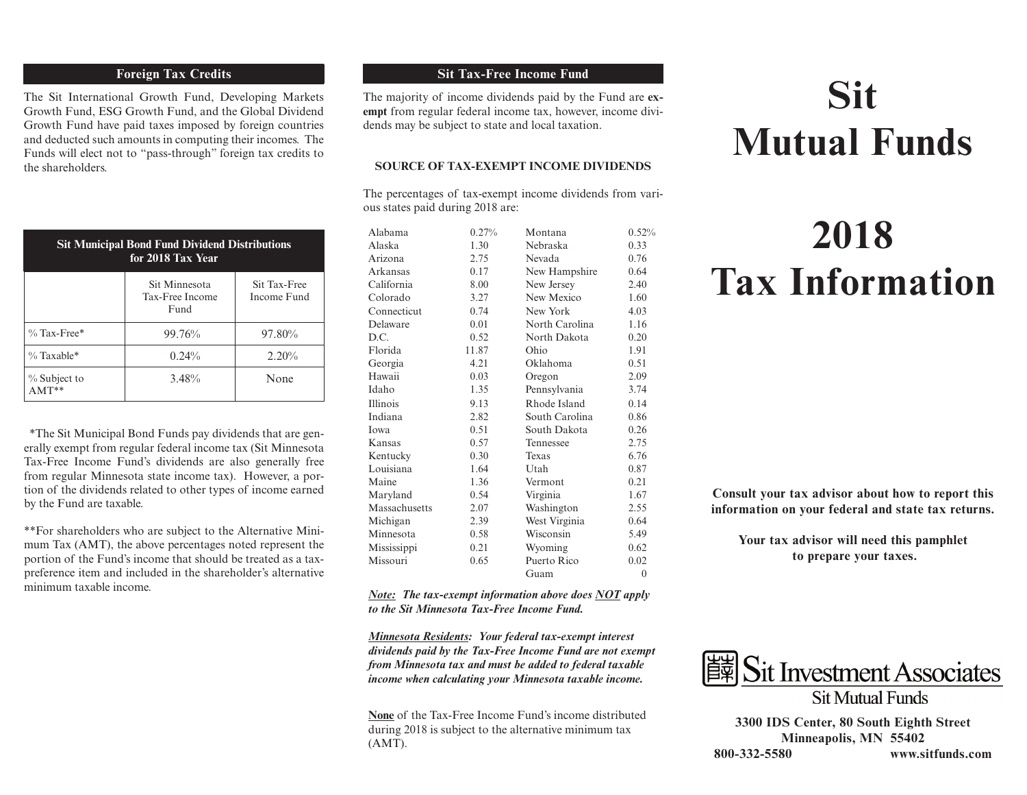# **Foreign Tax Credits**

The Sit International Growth Fund, Developing Markets Growth Fund, ESG Growth Fund, and the Global Dividend Growth Fund have paid taxes imposed by foreign countries and deducted such amounts in computing their incomes. The Funds will elect not to "pass-through" foreign tax credits to the shareholders.

| <b>Sit Municipal Bond Fund Dividend Distributions</b><br>for 2018 Tax Year |                                          |                             |  |  |  |
|----------------------------------------------------------------------------|------------------------------------------|-----------------------------|--|--|--|
|                                                                            | Sit Minnesota<br>Tax-Free Income<br>Fund | Sit Tax-Free<br>Income Fund |  |  |  |
| $\%$ Tax-Free*                                                             | 99.76%                                   | 97.80%                      |  |  |  |
| $\%$ Taxable*                                                              | $0.24\%$                                 | 2.20%                       |  |  |  |
| % Subject to                                                               | 3.48%                                    | None                        |  |  |  |

 \*The Sit Municipal Bond Funds pay dividends that are generally exempt from regular federal income tax (Sit Minnesota Tax-Free Income Fund's dividends are also generally free from regular Minnesota state income tax). However, a portion of the dividends related to other types of income earned by the Fund are taxable.

\*\*For shareholders who are subject to the Alternative Minimum Tax (AMT), the above percentages noted represent the portion of the Fund's income that should be treated as a taxpreference item and included in the shareholder's alternative minimum taxable income.

# **Sit Tax-Free Income Fund**

The majority of income dividends paid by the Fund are **exempt** from regular federal income tax, however, income dividends may be subject to state and local taxation.

### **SOURCE OF TAX-EXEMPT INCOME DIVIDENDS**

The percentages of tax-exempt income dividends from various states paid during 2018 are:

| Alabama       | 0.27% | Montana        | 0.52%          |
|---------------|-------|----------------|----------------|
| Alaska        | 1.30  | Nebraska       | 0.33           |
| Arizona       | 2.75  | <b>Nevada</b>  | 0.76           |
| Arkansas      | 0.17  | New Hampshire  | 0.64           |
| California    | 8.00  | New Jersey     | 2.40           |
| Colorado      | 3.27  | New Mexico     | 1.60           |
| Connecticut   | 0.74  | New York       | 4.03           |
| Delaware      | 0.01  | North Carolina | 1.16           |
| D.C.          | 0.52  | North Dakota   | 0.20           |
| Florida       | 11.87 | Ohio           | 1.91           |
| Georgia       | 4.21  | Oklahoma       | 0.51           |
| Hawaii        | 0.03  | Oregon         | 2.09           |
| Idaho         | 1.35  | Pennsylvania   | 3.74           |
| Illinois      | 9.13  | Rhode Island   | 0.14           |
| Indiana       | 2.82  | South Carolina | 0.86           |
| <b>I</b> owa  | 0.51  | South Dakota   | 0.26           |
| Kansas        | 0.57  | Tennessee      | 2.75           |
| Kentucky      | 0.30  | Texas          | 6.76           |
| Louisiana     | 1.64  | Utah           | 0.87           |
| Maine         | 1.36  | Vermont        | 0.21           |
| Maryland      | 0.54  | Virginia       | 1.67           |
| Massachusetts | 2.07  | Washington     | 2.55           |
| Michigan      | 2.39  | West Virginia  | 0.64           |
| Minnesota     | 0.58  | Wisconsin      | 5.49           |
| Mississippi   | 0.21  | Wyoming        | 0.62           |
| Missouri      | 0.65  | Puerto Rico    | 0.02           |
|               |       | Guam           | $\overline{0}$ |

*Note: The tax-exempt information above does NOT apply to the Sit Minnesota Tax-Free Income Fund.*

*Minnesota Residents: Your federal tax-exempt interest dividends paid by the Tax-Free Income Fund are not exempt from Minnesota tax and must be added to federal taxable income when calculating your Minnesota taxable income.*

**None** of the Tax-Free Income Fund's income distributed during 2018 is subject to the alternative minimum tax (AMT).

# **Sit Mutual Funds**

# **2018 Tax Information**

**Consult your tax advisor about how to report this information on your federal and state tax returns.**

**Your tax advisor will need this pamphlet to prepare your taxes.**



**3300 IDS Center, 80 South Eighth Street Minneapolis, MN 55402 800-332-5580 www.sitfunds.com**